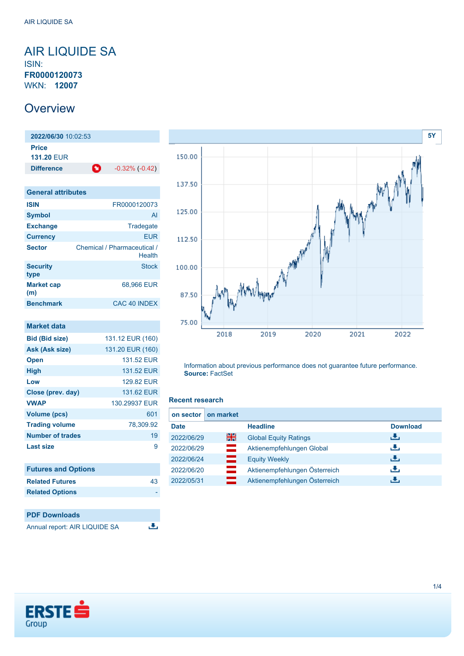## <span id="page-0-0"></span>AIR LIQUIDE SA ISIN: **FR0000120073** WKN: **12007**

# **Overview**

**2022/06/30** 10:02:53 **Price 131.20** EUR **Difference 1**  $-0.32\%$  (-0.42)

| <b>General attributes</b> |                                       |
|---------------------------|---------------------------------------|
| <b>ISIN</b>               | FR0000120073                          |
| <b>Symbol</b>             | AI                                    |
| <b>Exchange</b>           | Tradegate                             |
| <b>Currency</b>           | <b>FUR</b>                            |
| <b>Sector</b>             | Chemical / Pharmaceutical /<br>Health |
| <b>Security</b><br>type   | <b>Stock</b>                          |
| <b>Market cap</b><br>(m)  | 68,966 EUR                            |
| <b>Benchmark</b>          | CAC 40 INDEX                          |

| <b>Market data</b>         |                  |
|----------------------------|------------------|
| <b>Bid (Bid size)</b>      | 131.12 EUR (160) |
| Ask (Ask size)             | 131.20 EUR (160) |
| <b>Open</b>                | 131.52 EUR       |
| High                       | 131.52 FUR       |
| Low                        | 129.82 EUR       |
| Close (prev. day)          | 131.62 EUR       |
| <b>VWAP</b>                | 130.29937 EUR    |
| <b>Volume (pcs)</b>        | 601              |
| <b>Trading volume</b>      | 78,309.92        |
| <b>Number of trades</b>    | 19               |
| <b>Last size</b>           | 9                |
|                            |                  |
| <b>Futures and Options</b> |                  |
| <b>Related Futures</b>     | 43               |





Information about previous performance does not guarantee future performance. **Source:** FactSet

#### **Recent research**

| on sector   | on market    |                               |                 |
|-------------|--------------|-------------------------------|-----------------|
| <b>Date</b> |              | <b>Headline</b>               | <b>Download</b> |
| 2022/06/29  | 을중           | <b>Global Equity Ratings</b>  | رنان            |
| 2022/06/29  | <u>e a s</u> | Aktienempfehlungen Global     | رالى            |
| 2022/06/24  | ᆖ            | <b>Equity Weekly</b>          | 出               |
| 2022/06/20  |              | Aktienempfehlungen Österreich | رنان            |
| 2022/05/31  | <u>e a</u>   | Aktienempfehlungen Österreich | æ.              |



**Related Options**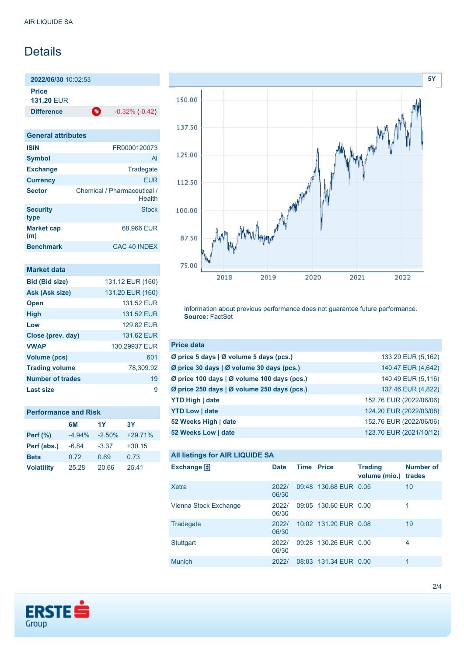# **Details**

**2022/06/30** 10:02:53

**Price**

**131.20** EUR

**Difference 1** -0.32% (-0.42)

| <b>General attributes</b> |                                       |
|---------------------------|---------------------------------------|
| <b>ISIN</b>               | FR0000120073                          |
| <b>Symbol</b>             | Al                                    |
| <b>Exchange</b>           | Tradegate                             |
| <b>Currency</b>           | <b>EUR</b>                            |
| <b>Sector</b>             | Chemical / Pharmaceutical /<br>Health |
| <b>Security</b><br>type   | <b>Stock</b>                          |
| <b>Market cap</b><br>(m)  | 68.966 EUR                            |
| <b>Benchmark</b>          | CAC 40 INDEX                          |

| Market data           |                  |
|-----------------------|------------------|
| <b>Bid (Bid size)</b> | 131.12 EUR (160) |
| Ask (Ask size)        | 131.20 EUR (160) |
| <b>Open</b>           | 131.52 FUR       |
| <b>High</b>           | 131.52 FUR       |
| Low                   | 129.82 FUR       |
| Close (prev. day)     | 131.62 EUR       |
| <b>VWAP</b>           | 130.29937 EUR    |
| <b>Volume (pcs)</b>   | 601              |
| <b>Trading volume</b> | 78.309.92        |
| Number of trades      | 19               |
| Last size             | g                |

|                   | 6M       | 1Y       | 3Y        |
|-------------------|----------|----------|-----------|
| <b>Perf</b> (%)   | $-4.94%$ | $-2.50%$ | $+29.71%$ |
| Perf (abs.)       | $-6.84$  | $-3.37$  | $+30.15$  |
| <b>Beta</b>       | 0.72     | 0.69     | 0.73      |
| <b>Volatility</b> | 25.28    | 20.66    | 25.41     |



Information about previous performance does not guarantee future performance. **Source:** FactSet

| <b>Price data</b>                           |                         |
|---------------------------------------------|-------------------------|
| Ø price 5 days   Ø volume 5 days (pcs.)     | 133.29 EUR (5,162)      |
| Ø price 30 days   Ø volume 30 days (pcs.)   | 140.47 EUR (4,642)      |
| Ø price 100 days   Ø volume 100 days (pcs.) | 140.49 EUR (5,116)      |
| Ø price 250 days   Ø volume 250 days (pcs.) | 137.46 EUR (4,822)      |
| <b>YTD High   date</b>                      | 152.76 EUR (2022/06/06) |
| <b>YTD Low   date</b>                       | 124.20 EUR (2022/03/08) |
| 52 Weeks High   date                        | 152.76 EUR (2022/06/06) |
| 52 Weeks Low   date                         | 123.70 EUR (2021/10/12) |

### **All listings for AIR LIQUIDE SA**

| <b>Number of</b><br><b>Trading</b><br>volume (mio.)<br>trades |
|---------------------------------------------------------------|
| 09:48 130.68 EUR 0.05<br>10                                   |
| 09:05 130.60 EUR 0.00<br>1                                    |
| 10:02 131.20 EUR 0.08<br>19                                   |
| 09:28 130.26 EUR 0.00<br>4                                    |
| 08:03 131.34 EUR 0.00<br>1                                    |
|                                                               |

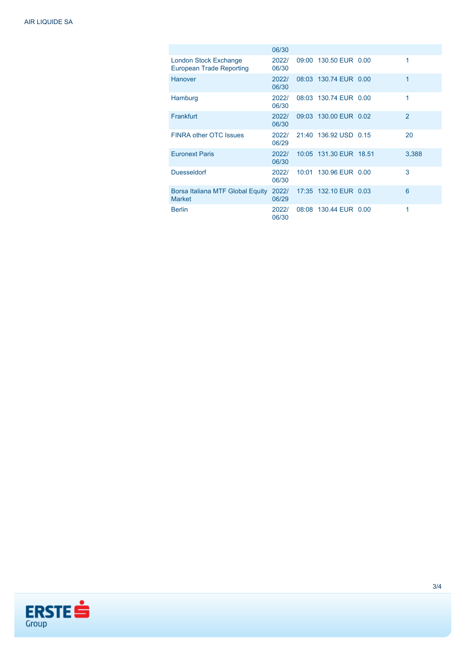|                                                          | 06/30          |                        |                |
|----------------------------------------------------------|----------------|------------------------|----------------|
| London Stock Exchange<br><b>European Trade Reporting</b> | 2022/<br>06/30 | 09:00 130.50 EUR 0.00  | 1              |
| <b>Hanover</b>                                           | 2022/<br>06/30 | 08:03 130.74 EUR 0.00  | 1              |
| Hamburg                                                  | 2022/<br>06/30 | 08:03 130.74 EUR 0.00  | 1              |
| Frankfurt                                                | 2022/<br>06/30 | 09:03 130.00 EUR 0.02  | $\overline{2}$ |
| <b>FINRA other OTC Issues</b>                            | 2022/<br>06/29 | 21:40 136.92 USD 0.15  | 20             |
| <b>Euronext Paris</b>                                    | 2022/<br>06/30 | 10:05 131.30 EUR 18.51 | 3,388          |
| <b>Duesseldorf</b>                                       | 2022/<br>06/30 | 10:01 130.96 EUR 0.00  | 3              |
| Borsa Italiana MTF Global Equity<br><b>Market</b>        | 2022/<br>06/29 | 17:35 132.10 EUR 0.03  | 6              |
| <b>Berlin</b>                                            | 2022/<br>06/30 | 08:08 130.44 EUR 0.00  | 1              |